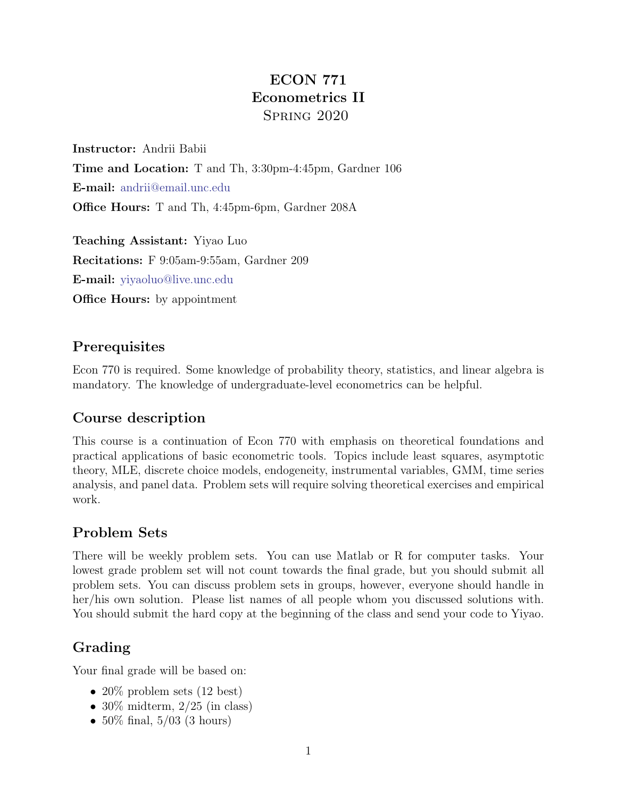## ECON 771 Econometrics II Spring 2020

Instructor: Andrii Babii Time and Location: T and Th, 3:30pm-4:45pm, Gardner 106 E-mail: [andrii@email.unc.edu](mailto:andrii@email.unc.edu) Office Hours: T and Th, 4:45pm-6pm, Gardner 208A

Teaching Assistant: Yiyao Luo Recitations: F 9:05am-9:55am, Gardner 209 E-mail: [yiyaoluo@live.unc.edu](mailto:yiyaoluo@live.unc.edu) **Office Hours:** by appointment

### **Prerequisites**

Econ 770 is required. Some knowledge of probability theory, statistics, and linear algebra is mandatory. The knowledge of undergraduate-level econometrics can be helpful.

#### Course description

This course is a continuation of Econ 770 with emphasis on theoretical foundations and practical applications of basic econometric tools. Topics include least squares, asymptotic theory, MLE, discrete choice models, endogeneity, instrumental variables, GMM, time series analysis, and panel data. Problem sets will require solving theoretical exercises and empirical work.

#### Problem Sets

There will be weekly problem sets. You can use Matlab or R for computer tasks. Your lowest grade problem set will not count towards the final grade, but you should submit all problem sets. You can discuss problem sets in groups, however, everyone should handle in her/his own solution. Please list names of all people whom you discussed solutions with. You should submit the hard copy at the beginning of the class and send your code to Yiyao.

## Grading

Your final grade will be based on:

- 20\% problem sets  $(12 \text{ best})$
- 30\% midterm,  $2/25$  (in class)
- $50\%$  final,  $5/03$  (3 hours)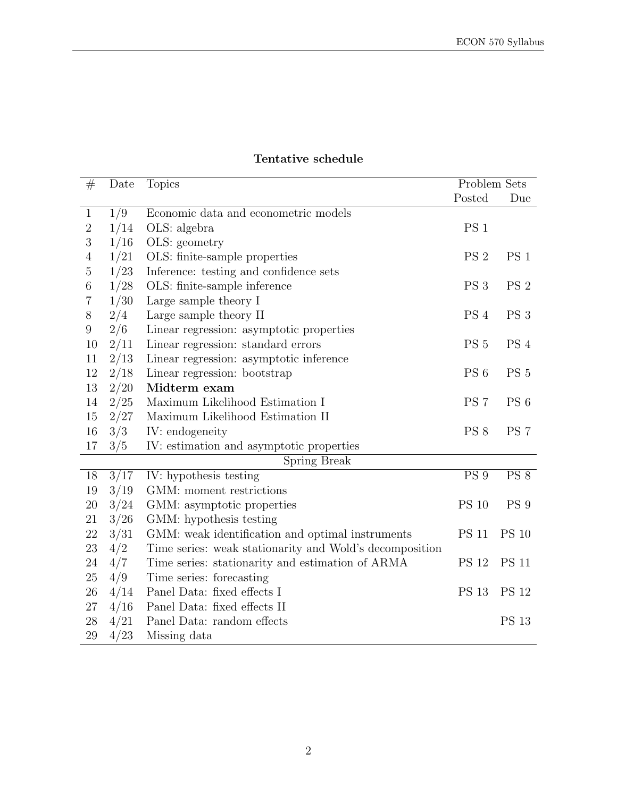| #                | Date | <b>Topics</b>                                           | Problem Sets    |                 |
|------------------|------|---------------------------------------------------------|-----------------|-----------------|
|                  |      |                                                         | Posted          | Due             |
| $\mathbf{1}$     | 1/9  | Economic data and econometric models                    |                 |                 |
| $\overline{2}$   | 1/14 | OLS: algebra                                            | PS <sub>1</sub> |                 |
| $\boldsymbol{3}$ | 1/16 | OLS: geometry                                           |                 |                 |
| $\overline{4}$   | 1/21 | OLS: finite-sample properties                           | PS <sub>2</sub> | PS <sub>1</sub> |
| $\bf 5$          | 1/23 | Inference: testing and confidence sets                  |                 |                 |
| $\,6$            | 1/28 | OLS: finite-sample inference                            | PS <sub>3</sub> | PS <sub>2</sub> |
| 7                | 1/30 | Large sample theory I                                   |                 |                 |
| $8\,$            | 2/4  | Large sample theory II                                  | PS 4            | PS <sub>3</sub> |
| $9\phantom{.0}$  | 2/6  | Linear regression: asymptotic properties                |                 |                 |
| 10               | 2/11 | Linear regression: standard errors                      | PS <sub>5</sub> | PS <sub>4</sub> |
| 11               | 2/13 | Linear regression: asymptotic inference                 |                 |                 |
| 12               | 2/18 | Linear regression: bootstrap                            | PS <sub>6</sub> | PS <sub>5</sub> |
| 13               | 2/20 | Midterm exam                                            |                 |                 |
| 14               | 2/25 | Maximum Likelihood Estimation I                         | PS <sub>7</sub> | PS <sub>6</sub> |
| 15               | 2/27 | Maximum Likelihood Estimation II                        |                 |                 |
| 16               | 3/3  | IV: endogeneity                                         | PS 8            | PS <sub>7</sub> |
| 17               | 3/5  | IV: estimation and asymptotic properties                |                 |                 |
| Spring Break     |      |                                                         |                 |                 |
| 18               | 3/17 | IV: hypothesis testing                                  | <b>PS</b> 9     | <b>PS 8</b>     |
| 19               | 3/19 | GMM: moment restrictions                                |                 |                 |
| $20\,$           | 3/24 | GMM: asymptotic properties                              | <b>PS 10</b>    | PS 9            |
| 21               | 3/26 | GMM: hypothesis testing                                 |                 |                 |
| $22\,$           | 3/31 | GMM: weak identification and optimal instruments        | <b>PS 11</b>    | <b>PS 10</b>    |
| $23\,$           | 4/2  | Time series: weak stationarity and Wold's decomposition |                 |                 |
| 24               | 4/7  | Time series: stationarity and estimation of ARMA        | <b>PS 12</b>    | <b>PS 11</b>    |
| $25\,$           | 4/9  | Time series: forecasting                                |                 |                 |
| 26               | 4/14 | Panel Data: fixed effects I                             | <b>PS 13</b>    | <b>PS 12</b>    |
| $27\,$           | 4/16 | Panel Data: fixed effects II                            |                 |                 |
| $28\,$           | 4/21 | Panel Data: random effects                              |                 | <b>PS 13</b>    |
| 29               | 4/23 | Missing data                                            |                 |                 |

#### Tentative schedule